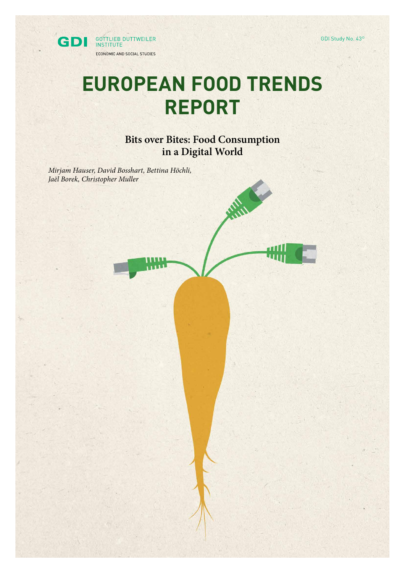GDI Study No. 43©



# **EUROPEAN FOOD TRENDS REPORT**

**Bits over Bites: Food Consumption in a Digital World**

**Allie** 

*Mirjam Hauser, David Bosshart, Bettina Höchli, Jaël Borek, Christopher Muller*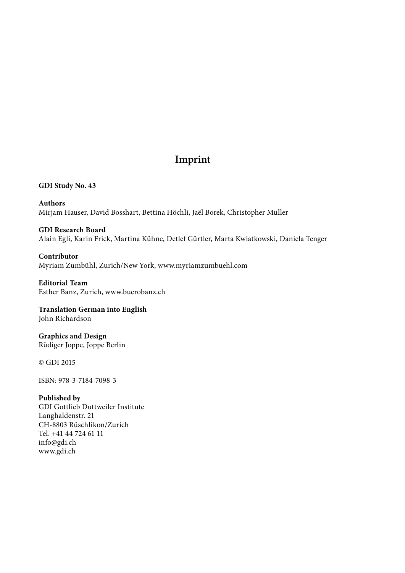# **Imprint**

**GDI Study No. 43**

**Authors** Mirjam Hauser, David Bosshart, Bettina Höchli, Jaël Borek, Christopher Muller

### **GDI Research Board**

Alain Egli, Karin Frick, Martina Kühne, Detlef Gürtler, Marta Kwiatkowski, Daniela Tenger

**Contributor** Myriam Zumbühl, Zurich/New York, www.myriamzumbuehl.com

**Editorial Team** Esther Banz, Zurich, www.buerobanz.ch

**Translation German into English** John Richardson

**Graphics and Design** Rüdiger Joppe, Joppe Berlin

© GDI 2015

ISBN: 978-3-7184-7098-3

#### **Published by**

GDI Gottlieb Duttweiler Institute Langhaldenstr. 21 CH-8803 Rüschlikon/Zurich Tel. +41 44 724 61 11 info@gdi.ch www.gdi.ch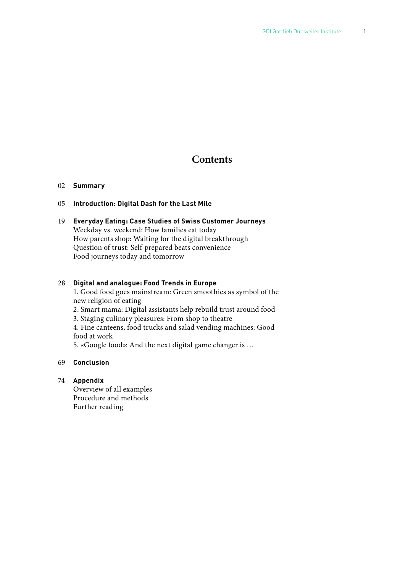## **Contents**

#### 02 **Summary**

#### 05 **Introduction: Digital Dash for the Last Mile**

#### 19 **Everyday Eating: Case Studies of Swiss Customer Journeys**  Weekday vs. weekend: How families eat today How parents shop: Waiting for the digital breakthrough Question of trust: Self-prepared beats convenience Food journeys today and tomorrow

#### 28 **Digital and analogue: Food Trends in Europe**

 1. Good food goes mainstream: Green smoothies as symbol of the new religion of eating

2. Smart mama: Digital assistants help rebuild trust around food

3. Staging culinary pleasures: From shop to theatre

 4. Fine canteens, food trucks and salad vending machines: Good food at work

5. «Google food»: And the next digital game changer is …

#### 69 **Conclusion**

#### 74 **Appendix**

 Overview of all examples Procedure and methods Further reading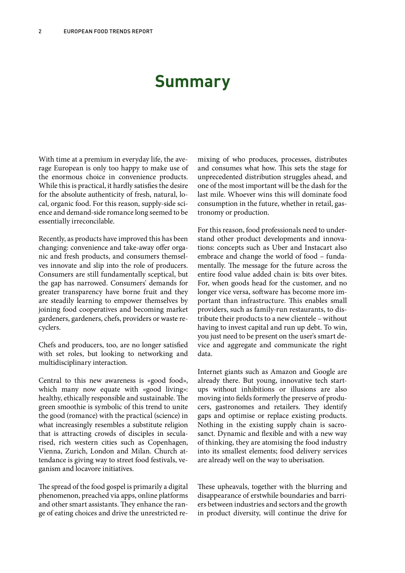# **Summary**

With time at a premium in everyday life, the average European is only too happy to make use of the enormous choice in convenience products. While this is practical, it hardly satisfies the desire for the absolute authenticity of fresh, natural, local, organic food. For this reason, supply-side science and demand-side romance long seemed to be essentially irreconcilable.

Recently, as products have improved this has been changing: convenience and take-away offer organic and fresh products, and consumers themselves innovate and slip into the role of producers. Consumers are still fundamentally sceptical, but the gap has narrowed. Consumers' demands for greater transparency have borne fruit and they are steadily learning to empower themselves by joining food cooperatives and becoming market gardeners, gardeners, chefs, providers or waste recyclers.

Chefs and producers, too, are no longer satisfied with set roles, but looking to networking and multidisciplinary interaction.

Central to this new awareness is «good food», which many now equate with «good living»: healthy, ethically responsible and sustainable. The green smoothie is symbolic of this trend to unite the good (romance) with the practical (science) in what increasingly resembles a substitute religion that is attracting crowds of disciples in secularised, rich western cities such as Copenhagen, Vienna, Zurich, London and Milan. Church attendance is giving way to street food festivals, veganism and locavore initiatives.

The spread of the food gospel is primarily a digital phenomenon, preached via apps, online platforms and other smart assistants. They enhance the range of eating choices and drive the unrestricted re-

mixing of who produces, processes, distributes and consumes what how. This sets the stage for unprecedented distribution struggles ahead, and one of the most important will be the dash for the last mile. Whoever wins this will dominate food consumption in the future, whether in retail, gastronomy or production.

For this reason, food professionals need to understand other product developments and innovations: concepts such as Uber and Instacart also embrace and change the world of food – fundamentally. The message for the future across the entire food value added chain is: bits over bites. For, when goods head for the customer, and no longer vice versa, software has become more important than infrastructure. This enables small providers, such as family-run restaurants, to distribute their products to a new clientele – without having to invest capital and run up debt. To win, you just need to be present on the user's smart device and aggregate and communicate the right data.

Internet giants such as Amazon and Google are already there. But young, innovative tech startups without inhibitions or illusions are also moving into fields formerly the preserve of producers, gastronomes and retailers. They identify gaps and optimise or replace existing products. Nothing in the existing supply chain is sacrosanct. Dynamic and flexible and with a new way of thinking, they are atomising the food industry into its smallest elements; food delivery services are already well on the way to uberisation.

These upheavals, together with the blurring and disappearance of erstwhile boundaries and barriers between industries and sectors and the growth in product diversity, will continue the drive for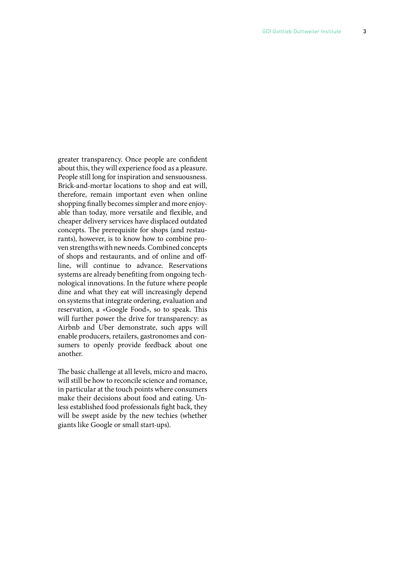greater transparency. Once people are confident about this, they will experience food as a pleasure. People still long for inspiration and sensuousness. Brick-and-mortar locations to shop and eat will, therefore, remain important even when online shopping finally becomes simpler and more enjoy able than today, more versatile and flexible, and cheaper delivery services have displaced outdated concepts. The prerequisite for shops (and restau rants), however, is to know how to combine pro ven strengths with new needs. Combined concepts of shops and restaurants, and of online and offline, will continue to advance. Reservations systems are already benefiting from ongoing technological innovations. In the future where people dine and what they eat will increasingly depend on systems that integrate ordering, evaluation and reservation, a «Google Food», so to speak. This will further power the drive for transparency: as Airbnb and Uber demonstrate, such apps will enable producers, retailers, gastronomes and con sumers to openly provide feedback about one another.

The basic challenge at all levels, micro and macro, will still be how to reconcile science and romance, in particular at the touch points where consumers make their decisions about food and eating. Un less established food professionals fight back, they will be swept aside by the new techies (whether giants like Google or small start-ups).